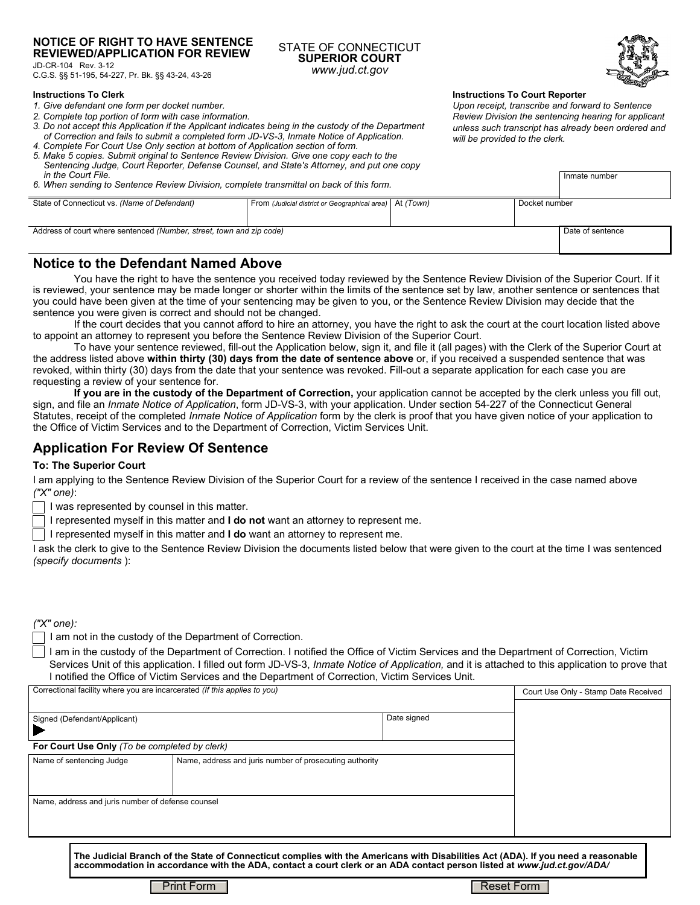### **NOTICE OF RIGHT TO HAVE SENTENCE REVIEWED/APPLICATION FOR REVIEW**

JD-CR-104 Rev. 3-12 C.G.S. §§ 51-195, 54-227, Pr. Bk. §§ 43-24, 43-26

#### **Instructions To Clerk**

- *1. Give defendant one form per docket number.*
- *2. Complete top portion of form with case information.*
- *3. Do not accept this Application if the Applicant indicates being in the custody of the Department of Correction and fails to submit a completed form JD-VS-3, Inmate Notice of Application.*
- *4. Complete For Court Use Only section at bottom of Application section of form. 5. Make 5 copies. Submit original to Sentence Review Division. Give one copy each to the Sentencing Judge, Court Reporter, Defense Counsel, and State's Attorney, and put one copy*
- *in the Court File. 6. When sending to Sentence Review Division, complete transmittal on back of this form.*

**Instructions To Court Reporter** 

*Upon receipt, transcribe and forward to Sentence Review Division the sentencing hearing for applicant unless such transcript has already been ordered and will be provided to the clerk.*

| in the Court File.<br>6. When sending to Sentence Review Division, complete transmittal on back of this form. | Inmate number                                             |  |                  |  |
|---------------------------------------------------------------------------------------------------------------|-----------------------------------------------------------|--|------------------|--|
| State of Connecticut vs. (Name of Defendant)                                                                  | From (Judicial district or Geographical area)   At (Town) |  | Docket number    |  |
|                                                                                                               |                                                           |  |                  |  |
|                                                                                                               |                                                           |  |                  |  |
| Address of court where sentenced (Number, street, town and zip code)                                          |                                                           |  | Date of sentence |  |
|                                                                                                               |                                                           |  |                  |  |
|                                                                                                               |                                                           |  |                  |  |

STATE OF CONNECTICUT **SUPERIOR COURT** *www.jud.ct.gov*

## **Notice to the Defendant Named Above**

You have the right to have the sentence you received today reviewed by the Sentence Review Division of the Superior Court. If it is reviewed, your sentence may be made longer or shorter within the limits of the sentence set by law, another sentence or sentences that you could have been given at the time of your sentencing may be given to you, or the Sentence Review Division may decide that the sentence you were given is correct and should not be changed.

If the court decides that you cannot afford to hire an attorney, you have the right to ask the court at the court location listed above to appoint an attorney to represent you before the Sentence Review Division of the Superior Court.

To have your sentence reviewed, fill-out the Application below, sign it, and file it (all pages) with the Clerk of the Superior Court at the address listed above **within thirty (30) days from the date of sentence above** or, if you received a suspended sentence that was revoked, within thirty (30) days from the date that your sentence was revoked. Fill-out a separate application for each case you are requesting a review of your sentence for.

**If you are in the custody of the Department of Correction,** your application cannot be accepted by the clerk unless you fill out, sign, and file an *Inmate Notice of Application*, form JD-VS-3, with your application. Under section 54-227 of the Connecticut General Statutes, receipt of the completed *Inmate Notice of Application* form by the clerk is proof that you have given notice of your application to the Office of Victim Services and to the Department of Correction, Victim Services Unit.

# **Application For Review Of Sentence**

## **To: The Superior Court**

I am applying to the Sentence Review Division of the Superior Court for a review of the sentence I received in the case named above *("X" one)*:

I was represented by counsel in this matter.

I represented myself in this matter and **I do not** want an attorney to represent me.

I represented myself in this matter and **I do** want an attorney to represent me.

I ask the clerk to give to the Sentence Review Division the documents listed below that were given to the court at the time I was sentenced *(specify documents* ):

*("X" one):*

I am not in the custody of the Department of Correction.

I am in the custody of the Department of Correction. I notified the Office of Victim Services and the Department of Correction, Victim Services Unit of this application. I filled out form JD-VS-3, *Inmate Notice of Application,* and it is attached to this application to prove that I notified the Office of Victim Services and the Department of Correction, Victim Services Unit.

| Correctional facility where you are incarcerated (If this applies to you) |                                                         |             | Court Use Only - Stamp Date Received |
|---------------------------------------------------------------------------|---------------------------------------------------------|-------------|--------------------------------------|
|                                                                           |                                                         |             |                                      |
| Signed (Defendant/Applicant)                                              |                                                         | Date signed |                                      |
|                                                                           |                                                         |             |                                      |
| For Court Use Only (To be completed by clerk)                             |                                                         |             |                                      |
| Name of sentencing Judge                                                  | Name, address and juris number of prosecuting authority |             |                                      |
|                                                                           |                                                         |             |                                      |
|                                                                           |                                                         |             |                                      |
| Name, address and juris number of defense counsel                         |                                                         |             |                                      |
|                                                                           |                                                         |             |                                      |
|                                                                           |                                                         |             |                                      |
|                                                                           |                                                         |             |                                      |

**The Judicial Branch of the State of Connecticut complies with the Americans with Disabilities Act (ADA). If you need a reasonable accommodation in accordance with the ADA, contact a court clerk or an ADA contact person listed at** *www.jud.ct.gov/ADA/*